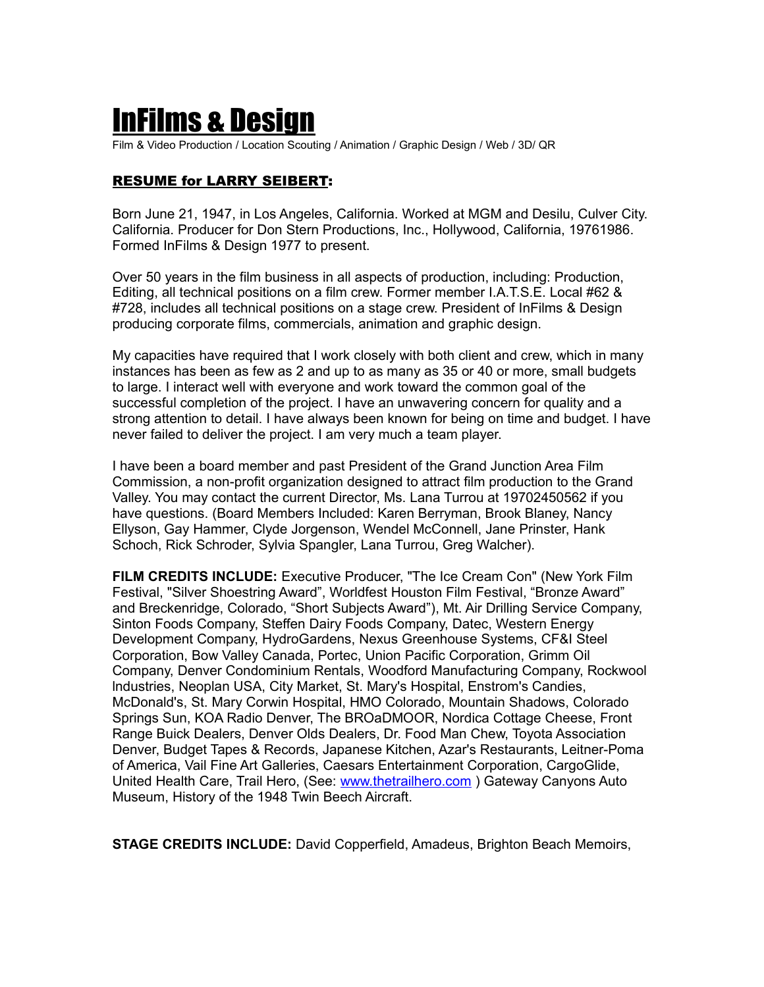## InFilms & Design

Film & Video Production / Location Scouting / Animation / Graphic Design / Web / 3D/ QR

## RESUME for LARRY SEIBERT:

Born June 21, 1947, in Los Angeles, California. Worked at MGM and Desilu, Culver City. California. Producer for Don Stern Productions, Inc., Hollywood, California, 19761986. Formed InFilms & Design 1977 to present.

Over 50 years in the film business in all aspects of production, including: Production, Editing, all technical positions on a film crew. Former member I.A.T.S.E. Local #62 & #728, includes all technical positions on a stage crew. President of InFilms & Design producing corporate films, commercials, animation and graphic design.

My capacities have required that I work closely with both client and crew, which in many instances has been as few as 2 and up to as many as 35 or 40 or more, small budgets to large. I interact well with everyone and work toward the common goal of the successful completion of the project. I have an unwavering concern for quality and a strong attention to detail. I have always been known for being on time and budget. I have never failed to deliver the project. I am very much a team player.

I have been a board member and past President of the Grand Junction Area Film Commission, a non-profit organization designed to attract film production to the Grand Valley. You may contact the current Director, Ms. Lana Turrou at 19702450562 if you have questions. (Board Members Included: Karen Berryman, Brook Blaney, Nancy Ellyson, Gay Hammer, Clyde Jorgenson, Wendel McConnell, Jane Prinster, Hank Schoch, Rick Schroder, Sylvia Spangler, Lana Turrou, Greg Walcher).

**FILM CREDITS INCLUDE:** Executive Producer, "The Ice Cream Con" (New York Film Festival, "Silver Shoestring Award", Worldfest Houston Film Festival, "Bronze Award" and Breckenridge, Colorado, "Short Subjects Award"), Mt. Air Drilling Service Company, Sinton Foods Company, Steffen Dairy Foods Company, Datec, Western Energy Development Company, HydroGardens, Nexus Greenhouse Systems, CF&I Steel Corporation, Bow Valley Canada, Portec, Union Pacific Corporation, Grimm Oil Company, Denver Condominium Rentals, Woodford Manufacturing Company, Rockwool lndustries, Neoplan USA, City Market, St. Mary's Hospital, Enstrom's Candies, McDonald's, St. Mary Corwin Hospital, HMO Colorado, Mountain Shadows, Colorado Springs Sun, KOA Radio Denver, The BROaDMOOR, Nordica Cottage Cheese, Front Range Buick Dealers, Denver Olds Dealers, Dr. Food Man Chew, Toyota Association Denver, Budget Tapes & Records, Japanese Kitchen, Azar's Restaurants, Leitner-Poma of America, Vail Fine Art Galleries, Caesars Entertainment Corporation, CargoGlide, United Health Care, Trail Hero, (See: [www.thetrailhero.com](http://www.thetrailhero.com/) ) Gateway Canyons Auto Museum, History of the 1948 Twin Beech Aircraft.

**STAGE CREDITS INCLUDE:** David Copperfield, Amadeus, Brighton Beach Memoirs,